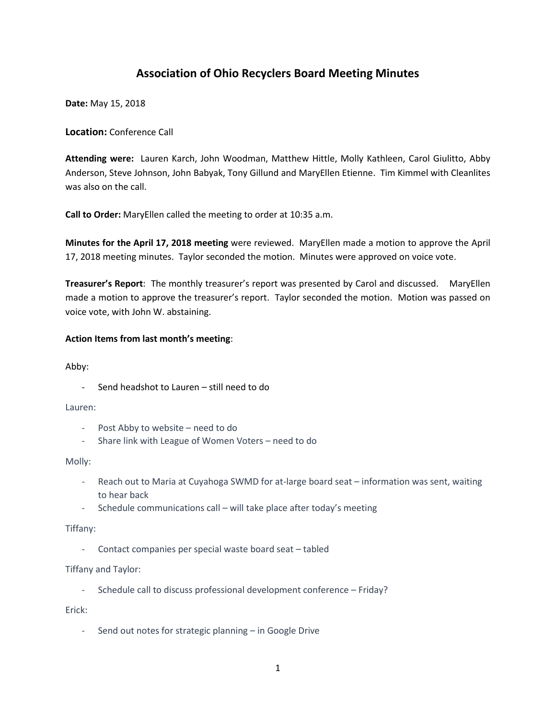# **Association of Ohio Recyclers Board Meeting Minutes**

**Date:** May 15, 2018

**Location:** Conference Call

**Attending were:** Lauren Karch, John Woodman, Matthew Hittle, Molly Kathleen, Carol Giulitto, Abby Anderson, Steve Johnson, John Babyak, Tony Gillund and MaryEllen Etienne. Tim Kimmel with Cleanlites was also on the call.

**Call to Order:** MaryEllen called the meeting to order at 10:35 a.m.

**Minutes for the April 17, 2018 meeting** were reviewed. MaryEllen made a motion to approve the April 17, 2018 meeting minutes. Taylor seconded the motion. Minutes were approved on voice vote.

**Treasurer's Report**: The monthly treasurer's report was presented by Carol and discussed. MaryEllen made a motion to approve the treasurer's report. Taylor seconded the motion. Motion was passed on voice vote, with John W. abstaining.

## **Action Items from last month's meeting**:

Abby:

Send headshot to Lauren - still need to do

Lauren:

- Post Abby to website need to do
- Share link with League of Women Voters need to do

Molly:

- Reach out to Maria at Cuyahoga SWMD for at-large board seat information was sent, waiting to hear back
- Schedule communications call will take place after today's meeting

Tiffany:

- Contact companies per special waste board seat – tabled

Tiffany and Taylor:

- Schedule call to discuss professional development conference – Friday?

Erick:

- Send out notes for strategic planning – in Google Drive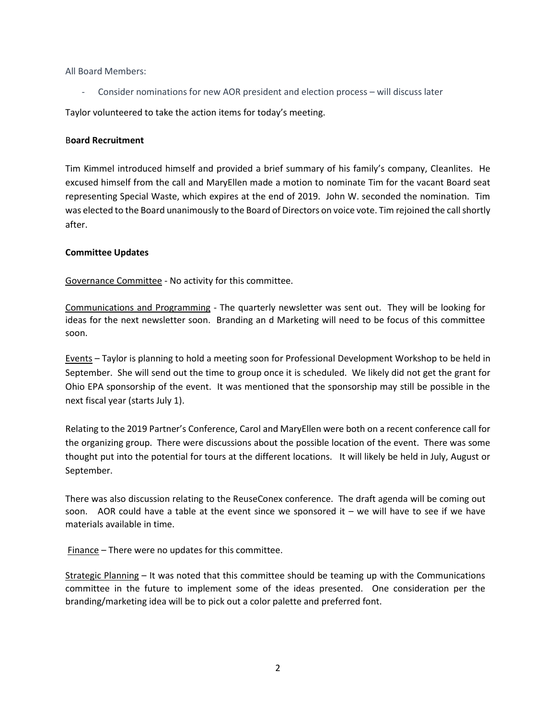All Board Members:

- Consider nominations for new AOR president and election process – will discuss later

Taylor volunteered to take the action items for today's meeting.

# B**oard Recruitment**

Tim Kimmel introduced himself and provided a brief summary of his family's company, Cleanlites. He excused himself from the call and MaryEllen made a motion to nominate Tim for the vacant Board seat representing Special Waste, which expires at the end of 2019. John W. seconded the nomination. Tim was elected to the Board unanimously to the Board of Directors on voice vote. Tim rejoined the call shortly after.

# **Committee Updates**

Governance Committee - No activity for this committee.

Communications and Programming - The quarterly newsletter was sent out. They will be looking for ideas for the next newsletter soon. Branding an d Marketing will need to be focus of this committee soon.

Events – Taylor is planning to hold a meeting soon for Professional Development Workshop to be held in September. She will send out the time to group once it is scheduled. We likely did not get the grant for Ohio EPA sponsorship of the event. It was mentioned that the sponsorship may still be possible in the next fiscal year (starts July 1).

Relating to the 2019 Partner's Conference, Carol and MaryEllen were both on a recent conference call for the organizing group. There were discussions about the possible location of the event. There was some thought put into the potential for tours at the different locations. It will likely be held in July, August or September.

There was also discussion relating to the ReuseConex conference. The draft agenda will be coming out soon. AOR could have a table at the event since we sponsored it  $-$  we will have to see if we have materials available in time.

Finance – There were no updates for this committee.

Strategic Planning – It was noted that this committee should be teaming up with the Communications committee in the future to implement some of the ideas presented. One consideration per the branding/marketing idea will be to pick out a color palette and preferred font.